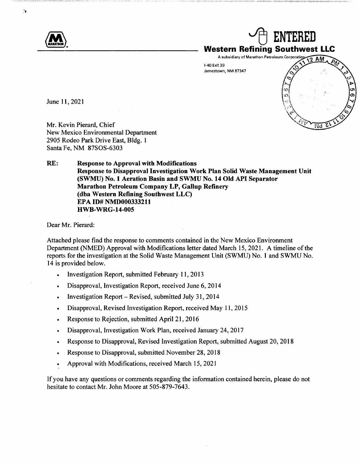

June 11, 2021

Mr. Kevin Pierard, Chief New Mexico Environmental Department 2905 Rodeo Park Drive East, Bldg. 1 Santa Fe, NM 87SOS-6303

**RE: Response to Approval with Modifications Response to Disapproval Investigation Work Plan Solid Waste Management Unit (SWMU) No. 1 Aeration Basin and SWMU No. 14 Old API Separator Marathon Petroleum Company LP, Gallup Refinery (dba Western Refining Southwest LLC) EPA ID# NMD000333211 HWB-WRG-14-005** 

Dear Mr. Pierard:

Attached please find the response to comments contained in the New Mexico Environment Department (NMED) Approval with Modifications letter dated March 15, 2021. A timeline of the reports for the investigation at the Solid Waste Management Unit (SWMU) No. 1 and SWMU No. 14 is provided below.

- Investigation Report, submitted February 11, 2013
- Disapproval, Investigation Report, received June 6, 2014
- Investigation Report Revised, submitted July 31, 2014
- Disapproval, Revised Investigation Report, received May 11, 2015
- Response to Rejection, submitted April 21, 2016
- Disapproval, Investigation Work Plan, received January 24, 2017
- Response to Disapproval, Revised Investigation Report, submitted August 20, 2018
- Response to Disapproval, submitted November 28, 2018
- Approval with Modifications, received March 15, 2021

If you have any questions or comments regarding the information contained herein, please do not hesitate to contact Mr. John Moore at 505-879-7643.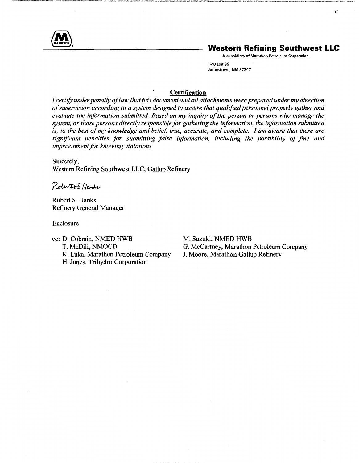

# **Western Refining Southwest LLC**

 $\pmb{\mathfrak{r}}^*$ 

A subsidiary of Marathon Petroleum Corporation 1-40 Exit 39 Jamestown, NM 87347

#### **Certification**

*I certify under penalty of law that this document and all attachments were prepared under my direction of supervision according to a system designed to assure that qualified personnel properly gather and evaluate the information submitted. Based on my inquiry of the person or persons who manage the system, or those persons directly responsible for gathering the information, the information submitted is, to the best of my knowledge and belief, true, accurate, and complete. I am aware that there are significant penalties for submitting false information, including the possibility of fine and imprisonment for knowing violations.* 

Sincerely, Western Refining Southwest LLC, Gallup Refinery

Robert S. Harbe

Robert S. Hanks Refinery General Manager

Enclosure

cc: D. Cobrain, NMED HWB T. McDill, NMOCD K. Luka, Marathon Petroleum Company H. Jones, Trihydro Corporation

M. Suzuki, NMED HWB G. McCartney, Marathon Petroleum Company J. Moore, Marathon Gallup Refinery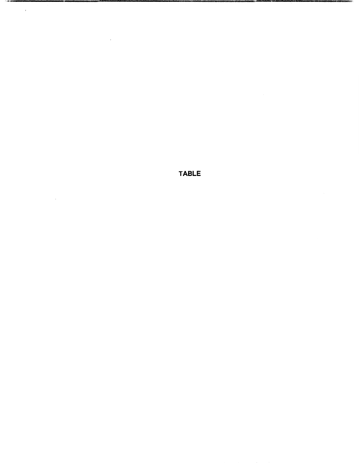**TABLE** 

一个字模

 $\mathcal{L}^{\text{max}}_{\text{max}}$ 

 $\mathcal{L}^{\text{max}}_{\text{max}}$ 

 $\sim 10^{-11}$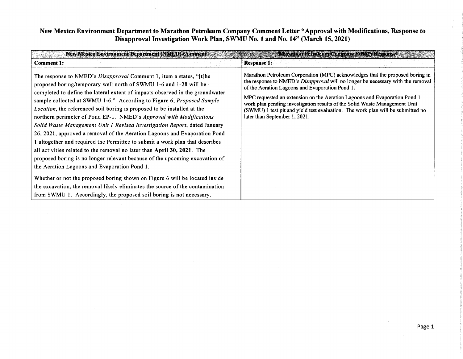## New Mexico Environment Department to Marathon Petroleum Company Comment Letter "Approval with Modifications, Response to **Disapproval Investigation Work Plan, SWMU No. 1 and No. 14" (March 15, 2021)**

| New Mexico Environment Department (NMED) Comment                                                                                                                                                                                                                                                                                                                                                                                                                                                                                                                                                                                                                                                                                                                                                                                                                                                                                                                                                                                                                                                                                                        | <b>Warathon Petroleum Commany (MRC) Response</b>                                                                                                                                                                                                                                                                                                                                                                                                                                                          |
|---------------------------------------------------------------------------------------------------------------------------------------------------------------------------------------------------------------------------------------------------------------------------------------------------------------------------------------------------------------------------------------------------------------------------------------------------------------------------------------------------------------------------------------------------------------------------------------------------------------------------------------------------------------------------------------------------------------------------------------------------------------------------------------------------------------------------------------------------------------------------------------------------------------------------------------------------------------------------------------------------------------------------------------------------------------------------------------------------------------------------------------------------------|-----------------------------------------------------------------------------------------------------------------------------------------------------------------------------------------------------------------------------------------------------------------------------------------------------------------------------------------------------------------------------------------------------------------------------------------------------------------------------------------------------------|
| Comment 1:                                                                                                                                                                                                                                                                                                                                                                                                                                                                                                                                                                                                                                                                                                                                                                                                                                                                                                                                                                                                                                                                                                                                              | <b>Response 1:</b>                                                                                                                                                                                                                                                                                                                                                                                                                                                                                        |
| The response to NMED's <i>Disapproval</i> Comment 1, item a states, "[t]he<br>proposed boring/temporary well north of SWMU 1-6 and 1-28 will be<br>completed to define the lateral extent of impacts observed in the groundwater<br>sample collected at SWMU 1-6." According to Figure 6, Proposed Sample<br>Location, the referenced soil boring is proposed to be installed at the<br>northern perimeter of Pond EP-1. NMED's Approval with Modifications<br>Solid Waste Management Unit 1 Revised Investigation Report, dated January<br>26, 2021, approved a removal of the Aeration Lagoons and Evaporation Pond<br>1 altogether and required the Permittee to submit a work plan that describes<br>all activities related to the removal no later than April 30, 2021. The<br>proposed boring is no longer relevant because of the upcoming excavation of<br>the Aeration Lagoons and Evaporation Pond 1.<br>Whether or not the proposed boring shown on Figure 6 will be located inside<br>the excavation, the removal likely eliminates the source of the contamination<br>from SWMU 1. Accordingly, the proposed soil boring is not necessary. | Marathon Petroleum Corporation (MPC) acknowledges that the proposed boring in<br>the response to NMED's <i>Disapproval</i> will no longer be necessary with the removal<br>of the Aeration Lagoons and Evaporation Pond 1.<br>MPC requested an extension on the Aeration Lagoons and Evaporation Pond 1<br>work plan pending investigation results of the Solid Waste Management Unit<br>(SWMU) 1 test pit and yield test evaluation. The work plan will be submitted no<br>later than September 1, 2021. |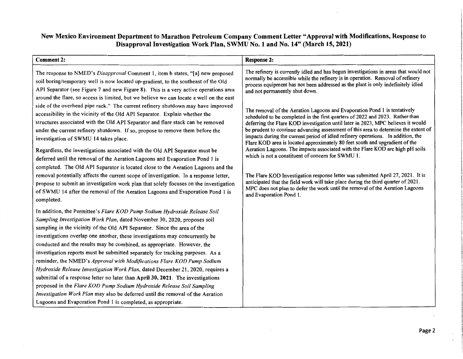# **New Mexico Environment Department to Marathon Petroleum Company Comment Letter "Approval with Modifications, Response to Disapproval Investigation Work Plan, SWMU No. 1 and No. 14" (March 15, 2021)**

| <b>Comment 2:</b>                                                                                                                                                                                                                                                                                                                                                                                                                                                                                                                                                                                                                                                                                                                                                                                                                                                                                                                                                                                                                                                                                                                                                                                                                                                              | <b>Response 2:</b>                                                                                                                                                                                                                                                                                                                                                                                                                                                                                                                                                                                                                                                                                                                                                                                                                                                                                                                                                                                                                                                                                                                                                                                                                 |
|--------------------------------------------------------------------------------------------------------------------------------------------------------------------------------------------------------------------------------------------------------------------------------------------------------------------------------------------------------------------------------------------------------------------------------------------------------------------------------------------------------------------------------------------------------------------------------------------------------------------------------------------------------------------------------------------------------------------------------------------------------------------------------------------------------------------------------------------------------------------------------------------------------------------------------------------------------------------------------------------------------------------------------------------------------------------------------------------------------------------------------------------------------------------------------------------------------------------------------------------------------------------------------|------------------------------------------------------------------------------------------------------------------------------------------------------------------------------------------------------------------------------------------------------------------------------------------------------------------------------------------------------------------------------------------------------------------------------------------------------------------------------------------------------------------------------------------------------------------------------------------------------------------------------------------------------------------------------------------------------------------------------------------------------------------------------------------------------------------------------------------------------------------------------------------------------------------------------------------------------------------------------------------------------------------------------------------------------------------------------------------------------------------------------------------------------------------------------------------------------------------------------------|
| The response to NMED's Disapproval Comment 1, item b states, "[a] new proposed<br>soil boring/temporary well is now located up-gradient, to the southeast of the Old<br>API Separator (see Figure 7 and new Figure 8). This is a very active operations area<br>around the flare, so access is limited, but we believe we can locate a well on the east<br>side of the overhead pipe rack." The current refinery shutdown may have improved<br>accessibility in the vicinity of the Old API Separator. Explain whether the<br>structures associated with the Old API Separator and flare stack can be removed<br>under the current refinery shutdown. If so, propose to remove them before the<br>investigation of SWMU 14 takes place.<br>Regardless, the investigations associated with the Old API Separator must be<br>deferred until the removal of the Aeration Lagoons and Evaporation Pond 1 is<br>completed. The Old API Separator is located close to the Aeration Lagoons and the<br>removal potentially affects the current scope of investigation. In a response letter,<br>propose to submit an investigation work plan that solely focuses on the investigation<br>of SWMU 14 after the removal of the Aeration Lagoons and Evaporation Pond 1 is<br>completed. | The refinery is currently idled and has begun investigations in areas that would not<br>normally be accessible while the refinery is in operation. Removal of refinery<br>process equipment has not been addressed as the plant is only indefinitely idled<br>and not permanently shut down.<br>The removal of the Aeration Lagoons and Evaporation Pond 1 is tentatively<br>scheduled to be completed in the first quarters of 2022 and 2023. Rather than<br>deferring the Flare KOD investigation until later in 2023, MPC believes it would<br>be prudent to continue advancing assessment of this area to determine the extent of<br>impacts during the current period of idled refinery operations. In addition, the<br>Flare KOD area is located approximately 80 feet south and upgradient of the<br>Aeration Lagoons. The impacts associated with the Flare KOD are high pH soils<br>which is not a constituent of concern for SWMU 1.<br>The Flare KOD Investigation response letter was submitted April 27, 2021. It is<br>anticipated that the field work will take place during the third quarter of 2021.<br>MPC does not plan to defer the work until the removal of the Aeration Lagoons<br>and Evaporation Pond 1. |
| In addition, the Permittee's Flare KOD Pump Sodium Hydroxide Release Soil<br>Sampling Investigation Work Plan, dated November 30, 2020, proposes soil<br>sampling in the vicinity of the Old API Separator. Since the area of the<br>investigations overlap one another, these investigations may concurrently be<br>conducted and the results may be combined, as appropriate. However, the<br>investigation reports must be submitted separately for tracking purposes. As a<br>reminder, the NMED's Approval with Modifications Flare KOD Pump Sodium<br>Hydroxide Release Investigation Work Plan, dated December 21, 2020, requires a<br>submittal of a response letter no later than April 30, 2021. The investigations<br>proposed in the Flare KOD Pump Sodium Hydroxide Release Soil Sampling<br>Investigation Work Plan may also be deferred until the removal of the Aeration<br>Lagoons and Evaporation Pond 1 is completed, as appropriate.                                                                                                                                                                                                                                                                                                                       |                                                                                                                                                                                                                                                                                                                                                                                                                                                                                                                                                                                                                                                                                                                                                                                                                                                                                                                                                                                                                                                                                                                                                                                                                                    |